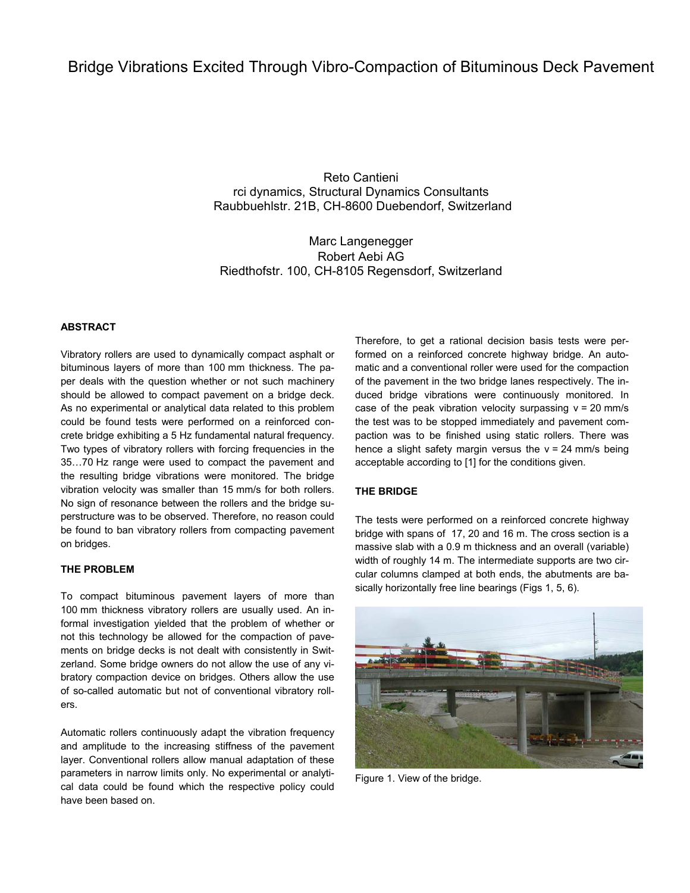# Bridge Vibrations Excited Through Vibro-Compaction of Bituminous Deck Pavement

Reto Cantieni rci dynamics, Structural Dynamics Consultants Raubbuehlstr. 21B, CH-8600 Duebendorf, Switzerland

Marc Langenegger Robert Aebi AG Riedthofstr. 100, CH-8105 Regensdorf, Switzerland

## **ABSTRACT**

Vibratory rollers are used to dynamically compact asphalt or bituminous layers of more than 100 mm thickness. The paper deals with the question whether or not such machinery should be allowed to compact pavement on a bridge deck. As no experimental or analytical data related to this problem could be found tests were performed on a reinforced concrete bridge exhibiting a 5 Hz fundamental natural frequency. Two types of vibratory rollers with forcing frequencies in the 35…70 Hz range were used to compact the pavement and the resulting bridge vibrations were monitored. The bridge vibration velocity was smaller than 15 mm/s for both rollers. No sign of resonance between the rollers and the bridge superstructure was to be observed. Therefore, no reason could be found to ban vibratory rollers from compacting pavement on bridges.

## **THE PROBLEM**

To compact bituminous pavement layers of more than 100 mm thickness vibratory rollers are usually used. An informal investigation yielded that the problem of whether or not this technology be allowed for the compaction of pavements on bridge decks is not dealt with consistently in Switzerland. Some bridge owners do not allow the use of any vibratory compaction device on bridges. Others allow the use of so-called automatic but not of conventional vibratory rollers.

Automatic rollers continuously adapt the vibration frequency and amplitude to the increasing stiffness of the pavement layer. Conventional rollers allow manual adaptation of these parameters in narrow limits only. No experimental or analytical data could be found which the respective policy could have been based on.

Therefore, to get a rational decision basis tests were performed on a reinforced concrete highway bridge. An automatic and a conventional roller were used for the compaction of the pavement in the two bridge lanes respectively. The induced bridge vibrations were continuously monitored. In case of the peak vibration velocity surpassing  $v = 20$  mm/s the test was to be stopped immediately and pavement compaction was to be finished using static rollers. There was hence a slight safety margin versus the  $v = 24$  mm/s being acceptable according to [1] for the conditions given.

# **THE BRIDGE**

The tests were performed on a reinforced concrete highway bridge with spans of 17, 20 and 16 m. The cross section is a massive slab with a 0.9 m thickness and an overall (variable) width of roughly 14 m. The intermediate supports are two circular columns clamped at both ends, the abutments are basically horizontally free line bearings (Figs 1, 5, 6).



Figure 1. View of the bridge.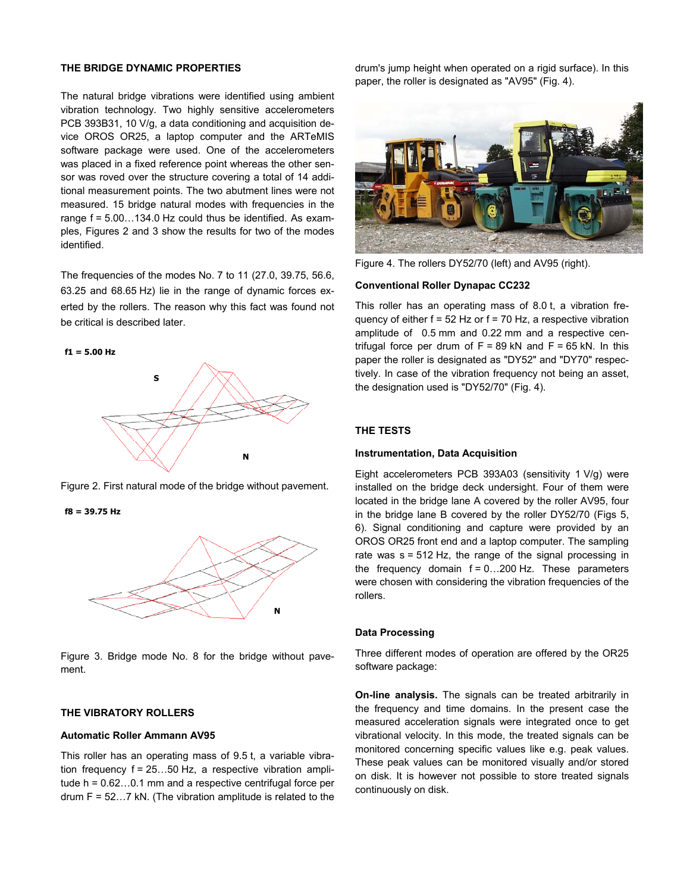### **THE BRIDGE DYNAMIC PROPERTIES**

The natural bridge vibrations were identified using ambient vibration technology. Two highly sensitive accelerometers PCB 393B31, 10 V/g, a data conditioning and acquisition device OROS OR25, a laptop computer and the ARTeMIS software package were used. One of the accelerometers was placed in a fixed reference point whereas the other sensor was roved over the structure covering a total of 14 additional measurement points. The two abutment lines were not measured. 15 bridge natural modes with frequencies in the range f = 5.00…134.0 Hz could thus be identified. As examples, Figures 2 and 3 show the results for two of the modes identified.

The frequencies of the modes No. 7 to 11 (27.0, 39.75, 56.6, 63.25 and 68.65 Hz) lie in the range of dynamic forces exerted by the rollers. The reason why this fact was found not be critical is described later.



Figure 2. First natural mode of the bridge without pavement.

**f8 = 39.75 Hz**



Figure 3. Bridge mode No. 8 for the bridge without pavement.

# **THE VIBRATORY ROLLERS**

#### **Automatic Roller Ammann AV95**

This roller has an operating mass of 9.5 t, a variable vibration frequency f = 25…50 Hz, a respective vibration amplitude h = 0.62…0.1 mm and a respective centrifugal force per drum  $F = 52...7$  kN. (The vibration amplitude is related to the

drum's jump height when operated on a rigid surface). In this paper, the roller is designated as "AV95" (Fig. 4).



Figure 4. The rollers DY52/70 (left) and AV95 (right).

#### **Conventional Roller Dynapac CC232**

This roller has an operating mass of 8.0 t, a vibration frequency of either  $f = 52$  Hz or  $f = 70$  Hz, a respective vibration amplitude of 0.5 mm and 0.22 mm and a respective centrifugal force per drum of  $F = 89$  kN and  $F = 65$  kN. In this paper the roller is designated as "DY52" and "DY70" respectively. In case of the vibration frequency not being an asset, the designation used is "DY52/70" (Fig. 4).

#### **THE TESTS**

#### **Instrumentation, Data Acquisition**

Eight accelerometers PCB 393A03 (sensitivity 1 V/g) were installed on the bridge deck undersight. Four of them were located in the bridge lane A covered by the roller AV95, four in the bridge lane B covered by the roller DY52/70 (Figs 5, 6). Signal conditioning and capture were provided by an OROS OR25 front end and a laptop computer. The sampling rate was s = 512 Hz, the range of the signal processing in the frequency domain  $f = 0...200$  Hz. These parameters were chosen with considering the vibration frequencies of the rollers.

## **Data Processing**

Three different modes of operation are offered by the OR25 software package:

**On-line analysis.** The signals can be treated arbitrarily in the frequency and time domains. In the present case the measured acceleration signals were integrated once to get vibrational velocity. In this mode, the treated signals can be monitored concerning specific values like e.g. peak values. These peak values can be monitored visually and/or stored on disk. It is however not possible to store treated signals continuously on disk.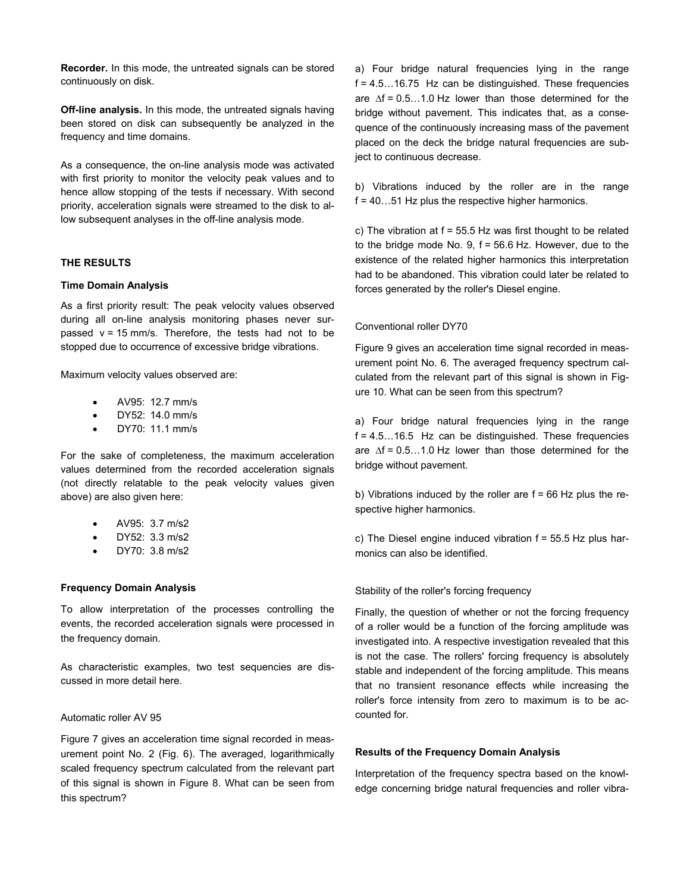**Recorder.** In this mode, the untreated signals can be stored continuously on disk.

**Off-line analysis.** In this mode, the untreated signals having been stored on disk can subsequently be analyzed in the frequency and time domains.

As a consequence, the on-line analysis mode was activated with first priority to monitor the velocity peak values and to hence allow stopping of the tests if necessary. With second priority, acceleration signals were streamed to the disk to allow subsequent analyses in the off-line analysis mode.

## **THE RESULTS**

## **Time Domain Analysis**

As a first priority result: The peak velocity values observed during all on-line analysis monitoring phases never surpassed  $v = 15$  mm/s. Therefore, the tests had not to be stopped due to occurrence of excessive bridge vibrations.

Maximum velocity values observed are:

- AV95: 12.7 mm/s
- DY52: 14.0 mm/s
- DY70: 11.1 mm/s

For the sake of completeness, the maximum acceleration values determined from the recorded acceleration signals (not directly relatable to the peak velocity values given above) are also given here:

- AV95: 3.7 m/s2
- DY52: 3.3 m/s2
- DY70: 3.8 m/s2

#### **Frequency Domain Analysis**

To allow interpretation of the processes controlling the events, the recorded acceleration signals were processed in the frequency domain.

As characteristic examples, two test sequencies are discussed in more detail here.

#### Automatic roller AV 95

Figure 7 gives an acceleration time signal recorded in measurement point No. 2 (Fig. 6). The averaged, logarithmically scaled frequency spectrum calculated from the relevant part of this signal is shown in Figure 8. What can be seen from this spectrum?

a) Four bridge natural frequencies lying in the range  $f = 4.5...16.75$  Hz can be distinguished. These frequencies are ∆f = 0.5…1.0 Hz lower than those determined for the bridge without pavement. This indicates that, as a consequence of the continuously increasing mass of the pavement placed on the deck the bridge natural frequencies are subject to continuous decrease.

b) Vibrations induced by the roller are in the range  $f = 40...51$  Hz plus the respective higher harmonics.

c) The vibration at f = 55.5 Hz was first thought to be related to the bridge mode No. 9,  $f = 56.6$  Hz. However, due to the existence of the related higher harmonics this interpretation had to be abandoned. This vibration could later be related to forces generated by the roller's Diesel engine.

## Conventional roller DY70

Figure 9 gives an acceleration time signal recorded in measurement point No. 6. The averaged frequency spectrum calculated from the relevant part of this signal is shown in Figure 10. What can be seen from this spectrum?

a) Four bridge natural frequencies lying in the range  $f = 4.5...16.5$  Hz can be distinguished. These frequencies are ∆f = 0.5…1.0 Hz lower than those determined for the bridge without pavement.

b) Vibrations induced by the roller are  $f = 66$  Hz plus the respective higher harmonics.

c) The Diesel engine induced vibration  $f = 55.5$  Hz plus harmonics can also be identified.

## Stability of the roller's forcing frequency

Finally, the question of whether or not the forcing frequency of a roller would be a function of the forcing amplitude was investigated into. A respective investigation revealed that this is not the case. The rollers' forcing frequency is absolutely stable and independent of the forcing amplitude. This means that no transient resonance effects while increasing the roller's force intensity from zero to maximum is to be accounted for.

#### **Results of the Frequency Domain Analysis**

Interpretation of the frequency spectra based on the knowledge concerning bridge natural frequencies and roller vibra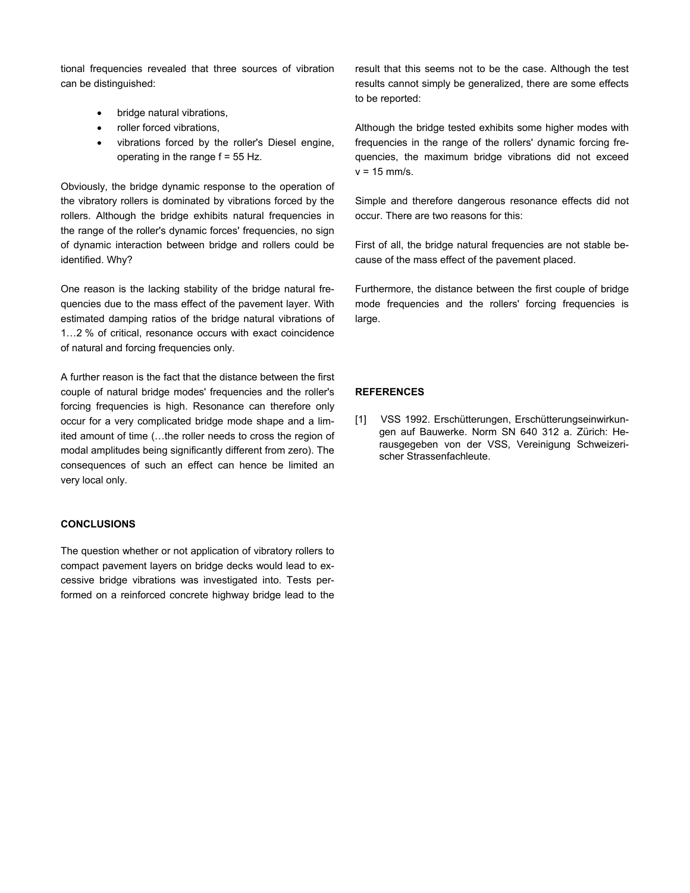tional frequencies revealed that three sources of vibration can be distinguished:

- bridge natural vibrations,
- roller forced vibrations,
- vibrations forced by the roller's Diesel engine, operating in the range  $f = 55$  Hz.

Obviously, the bridge dynamic response to the operation of the vibratory rollers is dominated by vibrations forced by the rollers. Although the bridge exhibits natural frequencies in the range of the roller's dynamic forces' frequencies, no sign of dynamic interaction between bridge and rollers could be identified. Why?

One reason is the lacking stability of the bridge natural frequencies due to the mass effect of the pavement layer. With estimated damping ratios of the bridge natural vibrations of 1…2 % of critical, resonance occurs with exact coincidence of natural and forcing frequencies only.

A further reason is the fact that the distance between the first couple of natural bridge modes' frequencies and the roller's forcing frequencies is high. Resonance can therefore only occur for a very complicated bridge mode shape and a limited amount of time (…the roller needs to cross the region of modal amplitudes being significantly different from zero). The consequences of such an effect can hence be limited an very local only.

# **CONCLUSIONS**

The question whether or not application of vibratory rollers to compact pavement layers on bridge decks would lead to excessive bridge vibrations was investigated into. Tests performed on a reinforced concrete highway bridge lead to the result that this seems not to be the case. Although the test results cannot simply be generalized, there are some effects to be reported:

Although the bridge tested exhibits some higher modes with frequencies in the range of the rollers' dynamic forcing frequencies, the maximum bridge vibrations did not exceed  $v = 15$  mm/s.

Simple and therefore dangerous resonance effects did not occur. There are two reasons for this:

First of all, the bridge natural frequencies are not stable because of the mass effect of the pavement placed.

Furthermore, the distance between the first couple of bridge mode frequencies and the rollers' forcing frequencies is large.

# **REFERENCES**

[1] VSS 1992. Erschütterungen, Erschütterungseinwirkungen auf Bauwerke. Norm SN 640 312 a. Zürich: Herausgegeben von der VSS, Vereinigung Schweizerischer Strassenfachleute.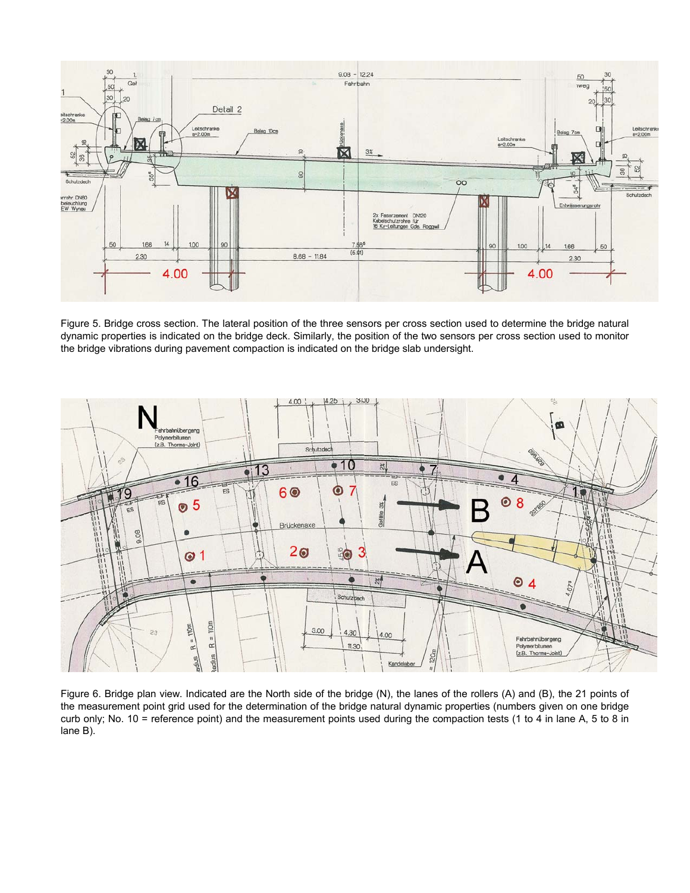

Figure 5. Bridge cross section. The lateral position of the three sensors per cross section used to determine the bridge natural dynamic properties is indicated on the bridge deck. Similarly, the position of the two sensors per cross section used to monitor the bridge vibrations during pavement compaction is indicated on the bridge slab undersight.



Figure 6. Bridge plan view. Indicated are the North side of the bridge (N), the lanes of the rollers (A) and (B), the 21 points of the measurement point grid used for the determination of the bridge natural dynamic properties (numbers given on one bridge curb only; No. 10 = reference point) and the measurement points used during the compaction tests (1 to 4 in lane A, 5 to 8 in lane B).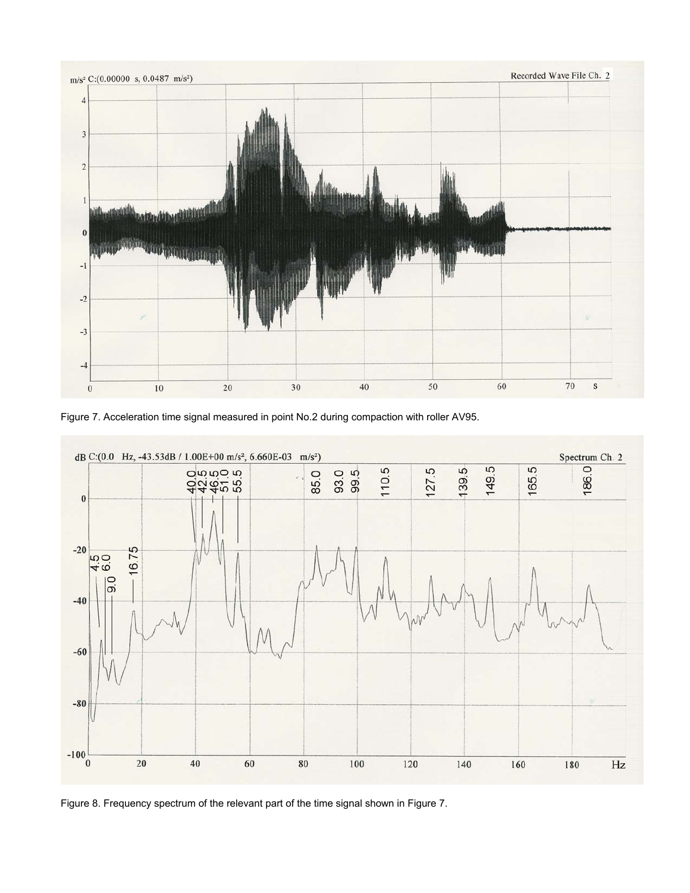

Figure 7. Acceleration time signal measured in point No.2 during compaction with roller AV95.



Figure 8. Frequency spectrum of the relevant part of the time signal shown in Figure 7.